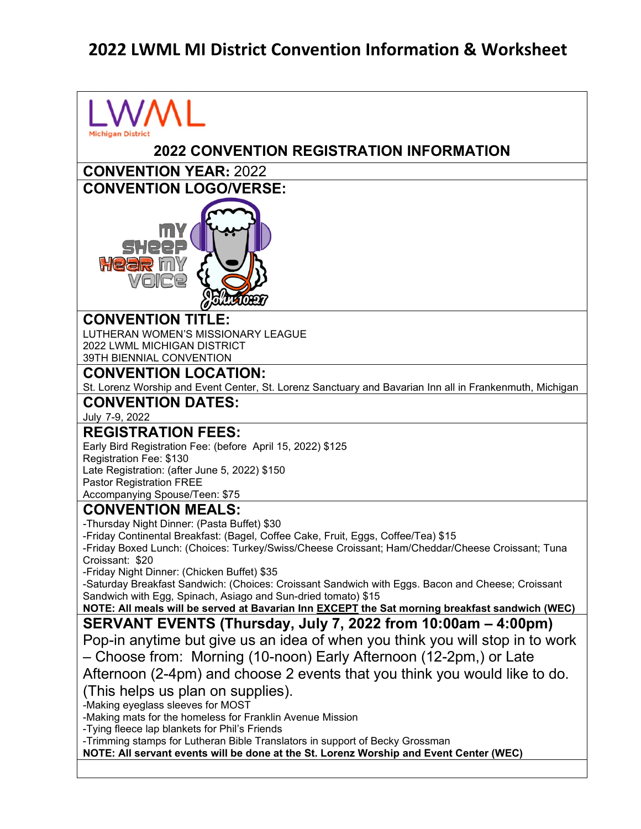## **2022 LWML MI District Convention Information & Worksheet**